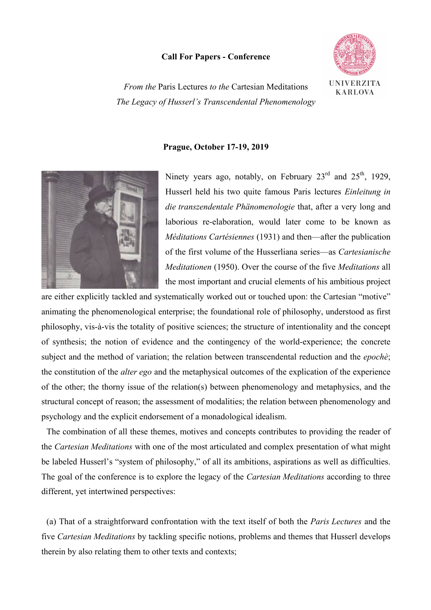## **Call For Papers - Conference**



*From the* Paris Lectures *to the* Cartesian Meditations *The Legacy of Husserl's Transcendental Phenomenology*

## **Prague, October 17-19, 2019**



Ninety years ago, notably, on February  $23<sup>rd</sup>$  and  $25<sup>th</sup>$ , 1929, Husserl held his two quite famous Paris lectures *Einleitung in die transzendentale Phänomenologie* that, after a very long and laborious re-elaboration, would later come to be known as *Méditations Cartésiennes* (1931) and then—after the publication of the first volume of the Husserliana series—as *Cartesianische Meditationen* (1950). Over the course of the five *Meditations* all the most important and crucial elements of his ambitious project

are either explicitly tackled and systematically worked out or touched upon: the Cartesian "motive" animating the phenomenological enterprise; the foundational role of philosophy, understood as first philosophy, vis-à-vis the totality of positive sciences; the structure of intentionality and the concept of synthesis; the notion of evidence and the contingency of the world-experience; the concrete subject and the method of variation; the relation between transcendental reduction and the *epochè*; the constitution of the *alter ego* and the metaphysical outcomes of the explication of the experience of the other; the thorny issue of the relation(s) between phenomenology and metaphysics, and the structural concept of reason; the assessment of modalities; the relation between phenomenology and psychology and the explicit endorsement of a monadological idealism.

The combination of all these themes, motives and concepts contributes to providing the reader of the *Cartesian Meditations* with one of the most articulated and complex presentation of what might be labeled Husserl's "system of philosophy," of all its ambitions, aspirations as well as difficulties. The goal of the conference is to explore the legacy of the *Cartesian Meditations* according to three different, yet intertwined perspectives:

(a) That of a straightforward confrontation with the text itself of both the *Paris Lectures* and the five *Cartesian Meditations* by tackling specific notions, problems and themes that Husserl develops therein by also relating them to other texts and contexts;